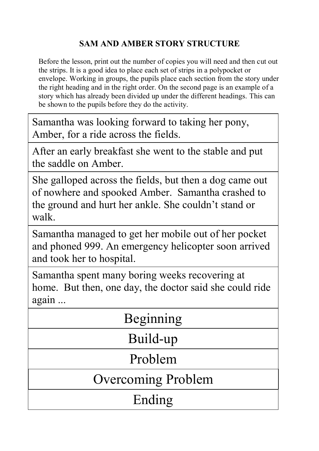# **SAM AND AMBER STORY STRUCTURE**

Before the lesson, print out the number of copies you will need and then cut out the strips. It is a good idea to place each set of strips in a polypocket or envelope. Working in groups, the pupils place each section from the story under the right heading and in the right order. On the second page is an example of a story which has already been divided up under the different headings. This can be shown to the pupils before they do the activity.

Samantha was looking forward to taking her pony, Amber, for a ride across the fields.

After an early breakfast she went to the stable and put the saddle on Amber.

She galloped across the fields, but then a dog came out of nowhere and spooked Amber. Samantha crashed to the ground and hurt her ankle. She couldn't stand or walk.

Samantha managed to get her mobile out of her pocket and phoned 999. An emergency helicopter soon arrived and took her to hospital.

Samantha spent many boring weeks recovering at home. But then, one day, the doctor said she could ride again ...

| Beginning                 |
|---------------------------|
| Build-up                  |
| Problem                   |
| <b>Overcoming Problem</b> |
| Ending                    |